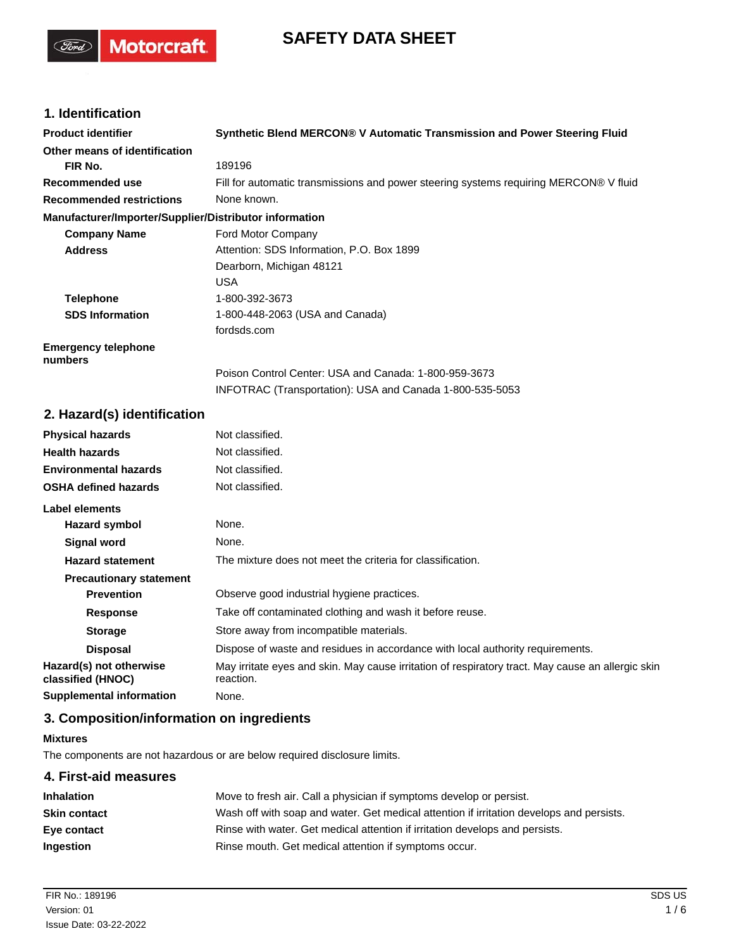# **SAFETY DATA SHEET**

# **1. Identification**

(Ford)

**Motorcraft** 

| <b>Product identifier</b>                              | Synthetic Blend MERCON® V Automatic Transmission and Power Steering Fluid             |
|--------------------------------------------------------|---------------------------------------------------------------------------------------|
| Other means of identification                          |                                                                                       |
| FIR No.                                                | 189196                                                                                |
| Recommended use                                        | Fill for automatic transmissions and power steering systems requiring MERCON® V fluid |
| <b>Recommended restrictions</b>                        | None known.                                                                           |
| Manufacturer/Importer/Supplier/Distributor information |                                                                                       |
| <b>Company Name</b>                                    | Ford Motor Company                                                                    |
| <b>Address</b>                                         | Attention: SDS Information, P.O. Box 1899                                             |
|                                                        | Dearborn, Michigan 48121                                                              |
|                                                        | <b>USA</b>                                                                            |
| <b>Telephone</b>                                       | 1-800-392-3673                                                                        |
| <b>SDS Information</b>                                 | 1-800-448-2063 (USA and Canada)                                                       |
|                                                        | fordsds.com                                                                           |
| <b>Emergency telephone</b><br>numbers                  |                                                                                       |
|                                                        | Poison Control Center: USA and Canada: 1-800-959-3673                                 |
|                                                        | INFOTRAC (Transportation): USA and Canada 1-800-535-5053                              |
| 2. Hazard(s) identification                            |                                                                                       |
| <b>Physical hazards</b>                                | Not classified.                                                                       |
| <b>Health hazards</b>                                  | Not classified.                                                                       |
| <b>Environmental hazards</b>                           | Not classified.                                                                       |
| <b>OSHA defined hazards</b>                            | Not classified.                                                                       |

| Label elements                               |                                                                                                                |
|----------------------------------------------|----------------------------------------------------------------------------------------------------------------|
| <b>Hazard symbol</b>                         | None.                                                                                                          |
| Signal word                                  | None.                                                                                                          |
| <b>Hazard statement</b>                      | The mixture does not meet the criteria for classification.                                                     |
| <b>Precautionary statement</b>               |                                                                                                                |
| <b>Prevention</b>                            | Observe good industrial hygiene practices.                                                                     |
| <b>Response</b>                              | Take off contaminated clothing and wash it before reuse.                                                       |
| <b>Storage</b>                               | Store away from incompatible materials.                                                                        |
| <b>Disposal</b>                              | Dispose of waste and residues in accordance with local authority requirements.                                 |
| Hazard(s) not otherwise<br>classified (HNOC) | May irritate eyes and skin. May cause irritation of respiratory tract. May cause an allergic skin<br>reaction. |
| <b>Supplemental information</b>              | None.                                                                                                          |

# **3. Composition/information on ingredients**

#### **Mixtures**

The components are not hazardous or are below required disclosure limits.

# **4. First-aid measures Inhalation** Move to fresh air. Call a physician if symptoms develop or persist. **Skin contact** Wash off with soap and water. Get medical attention if irritation develops and persists. **Eye contact** Rinse with water. Get medical attention if irritation develops and persists. **Ingestion** Rinse mouth. Get medical attention if symptoms occur.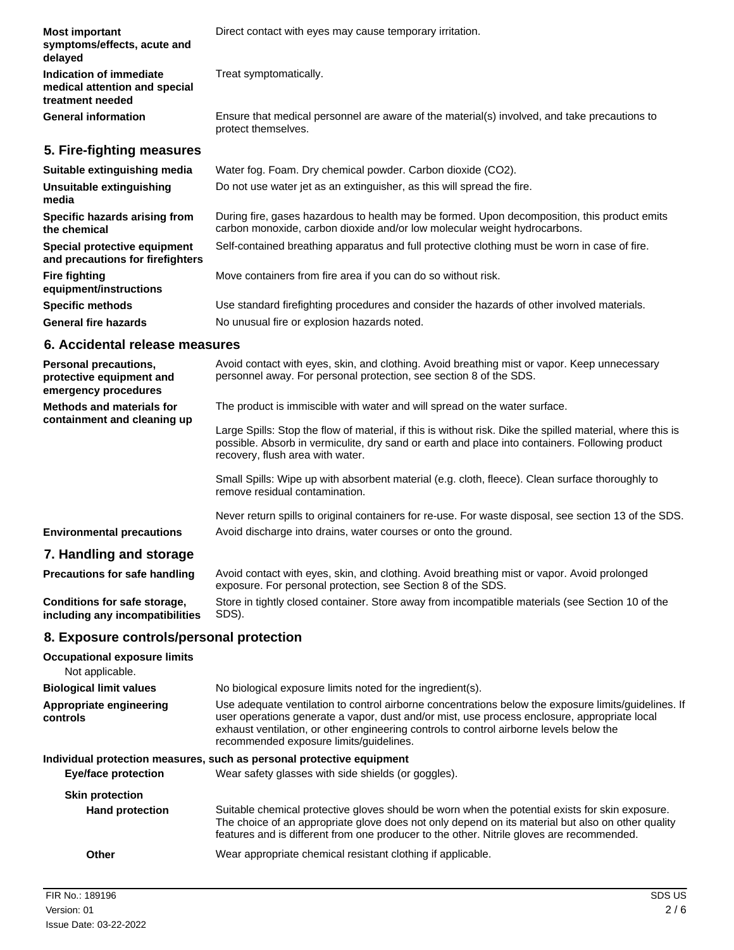| <b>Most important</b><br>symptoms/effects, acute and<br>delayed              | Direct contact with eyes may cause temporary irritation.                                                                                                                  |
|------------------------------------------------------------------------------|---------------------------------------------------------------------------------------------------------------------------------------------------------------------------|
| Indication of immediate<br>medical attention and special<br>treatment needed | Treat symptomatically.                                                                                                                                                    |
| <b>General information</b>                                                   | Ensure that medical personnel are aware of the material(s) involved, and take precautions to<br>protect themselves.                                                       |
| 5. Fire-fighting measures                                                    |                                                                                                                                                                           |
| Suitable extinguishing media                                                 | Water fog. Foam. Dry chemical powder. Carbon dioxide (CO2).                                                                                                               |
| Unsuitable extinguishing<br>media                                            | Do not use water jet as an extinguisher, as this will spread the fire.                                                                                                    |
| Specific hazards arising from<br>the chemical                                | During fire, gases hazardous to health may be formed. Upon decomposition, this product emits<br>carbon monoxide, carbon dioxide and/or low molecular weight hydrocarbons. |
| Special protective equipment<br>and precautions for firefighters             | Self-contained breathing apparatus and full protective clothing must be worn in case of fire.                                                                             |
| <b>Fire fighting</b><br>equipment/instructions                               | Move containers from fire area if you can do so without risk.                                                                                                             |
| <b>Specific methods</b>                                                      | Use standard firefighting procedures and consider the hazards of other involved materials.                                                                                |
| <b>General fire hazards</b>                                                  | No unusual fire or explosion hazards noted.                                                                                                                               |
| 6. Accidental release measures                                               |                                                                                                                                                                           |

| Personal precautions,<br>protective equipment and<br>emergency procedures | Avoid contact with eyes, skin, and clothing. Avoid breathing mist or vapor. Keep unnecessary<br>personnel away. For personal protection, see section 8 of the SDS.                                                                                |
|---------------------------------------------------------------------------|---------------------------------------------------------------------------------------------------------------------------------------------------------------------------------------------------------------------------------------------------|
| <b>Methods and materials for</b><br>containment and cleaning up           | The product is immiscible with water and will spread on the water surface.                                                                                                                                                                        |
|                                                                           | Large Spills: Stop the flow of material, if this is without risk. Dike the spilled material, where this is<br>possible. Absorb in vermiculite, dry sand or earth and place into containers. Following product<br>recovery, flush area with water. |
|                                                                           | Small Spills: Wipe up with absorbent material (e.g. cloth, fleece). Clean surface thoroughly to<br>remove residual contamination.                                                                                                                 |
|                                                                           | Never return spills to original containers for re-use. For waste disposal, see section 13 of the SDS.                                                                                                                                             |
| <b>Environmental precautions</b>                                          | Avoid discharge into drains, water courses or onto the ground.                                                                                                                                                                                    |
| 7. Handling and storage                                                   |                                                                                                                                                                                                                                                   |
| <b>Precautions for safe handling</b>                                      | Avoid contact with eyes, skin, and clothing. Avoid breathing mist or vapor. Avoid prolonged<br>exposure. For personal protection, see Section 8 of the SDS.                                                                                       |
| Conditions for safe storage,<br>including any incompatibilities           | Store in tightly closed container. Store away from incompatible materials (see Section 10 of the<br>SDS).                                                                                                                                         |
| <b>0</b> Expecuse controle/personal protection                            |                                                                                                                                                                                                                                                   |

# **8. Exposure controls/personal protection**

| <b>Occupational exposure limits</b><br>Not applicable. |                                                                                                                                                                                                                                                                                                                                            |
|--------------------------------------------------------|--------------------------------------------------------------------------------------------------------------------------------------------------------------------------------------------------------------------------------------------------------------------------------------------------------------------------------------------|
| <b>Biological limit values</b>                         | No biological exposure limits noted for the ingredient(s).                                                                                                                                                                                                                                                                                 |
| Appropriate engineering<br>controls                    | Use adequate ventilation to control airborne concentrations below the exposure limits/guidelines. If<br>user operations generate a vapor, dust and/or mist, use process enclosure, appropriate local<br>exhaust ventilation, or other engineering controls to control airborne levels below the<br>recommended exposure limits/guidelines. |
|                                                        | Individual protection measures, such as personal protective equipment                                                                                                                                                                                                                                                                      |
| <b>Eye/face protection</b>                             | Wear safety glasses with side shields (or goggles).                                                                                                                                                                                                                                                                                        |
| <b>Skin protection</b>                                 |                                                                                                                                                                                                                                                                                                                                            |
| <b>Hand protection</b>                                 | Suitable chemical protective gloves should be worn when the potential exists for skin exposure.<br>The choice of an appropriate glove does not only depend on its material but also on other quality<br>features and is different from one producer to the other. Nitrile gloves are recommended.                                          |
| Other                                                  | Wear appropriate chemical resistant clothing if applicable.                                                                                                                                                                                                                                                                                |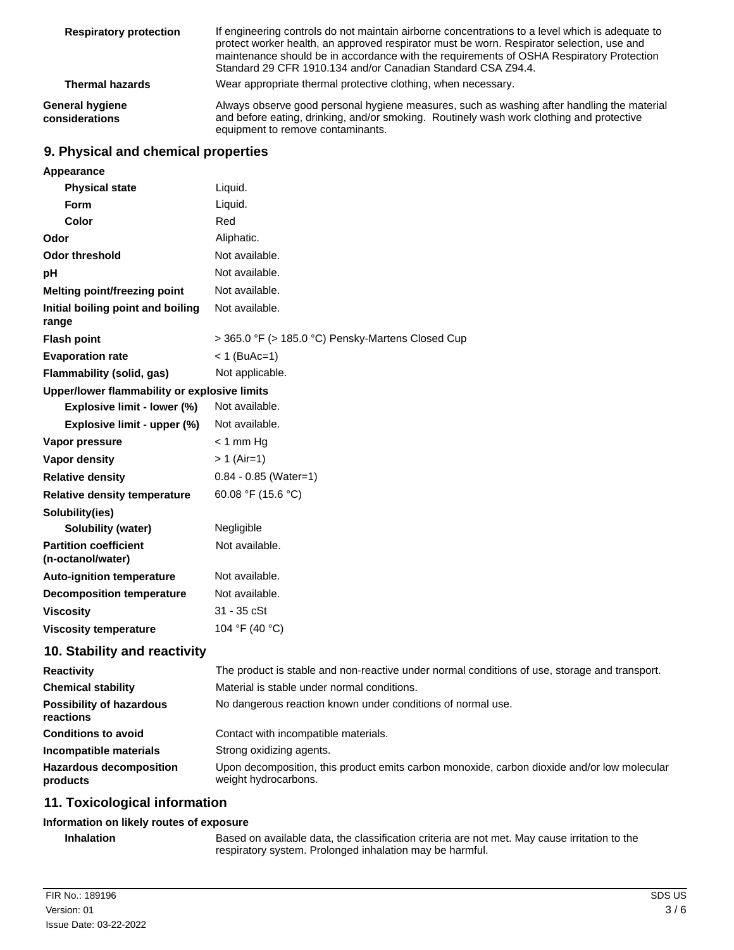| <b>Respiratory protection</b>     | If engineering controls do not maintain airborne concentrations to a level which is adequate to<br>protect worker health, an approved respirator must be worn. Respirator selection, use and<br>maintenance should be in accordance with the requirements of OSHA Respiratory Protection<br>Standard 29 CFR 1910.134 and/or Canadian Standard CSA Z94.4. |
|-----------------------------------|----------------------------------------------------------------------------------------------------------------------------------------------------------------------------------------------------------------------------------------------------------------------------------------------------------------------------------------------------------|
| <b>Thermal hazards</b>            | Wear appropriate thermal protective clothing, when necessary.                                                                                                                                                                                                                                                                                            |
| General hygiene<br>considerations | Always observe good personal hygiene measures, such as washing after handling the material<br>and before eating, drinking, and/or smoking. Routinely wash work clothing and protective<br>equipment to remove contaminants.                                                                                                                              |

# **9. Physical and chemical properties**

| Appearance                                        |                                                                                                                     |
|---------------------------------------------------|---------------------------------------------------------------------------------------------------------------------|
| <b>Physical state</b>                             | Liquid.                                                                                                             |
| Form                                              | Liquid.                                                                                                             |
| <b>Color</b>                                      | Red                                                                                                                 |
| Odor                                              | Aliphatic.                                                                                                          |
| <b>Odor threshold</b>                             | Not available.                                                                                                      |
| pH                                                | Not available.                                                                                                      |
| Melting point/freezing point                      | Not available.                                                                                                      |
| Initial boiling point and boiling<br>range        | Not available.                                                                                                      |
| <b>Flash point</b>                                | > 365.0 °F (> 185.0 °C) Pensky-Martens Closed Cup                                                                   |
| <b>Evaporation rate</b>                           | $< 1$ (BuAc=1)                                                                                                      |
| Flammability (solid, gas)                         | Not applicable.                                                                                                     |
| Upper/lower flammability or explosive limits      |                                                                                                                     |
| Explosive limit - lower (%)                       | Not available.                                                                                                      |
| Explosive limit - upper (%)                       | Not available.                                                                                                      |
| Vapor pressure                                    | $<$ 1 mm Hg                                                                                                         |
| Vapor density                                     | $> 1$ (Air=1)                                                                                                       |
| <b>Relative density</b>                           | $0.84 - 0.85$ (Water=1)                                                                                             |
| Relative density temperature                      | 60.08 °F (15.6 °C)                                                                                                  |
| Solubility(ies)                                   |                                                                                                                     |
| Solubility (water)                                | Negligible                                                                                                          |
| <b>Partition coefficient</b><br>(n-octanol/water) | Not available.                                                                                                      |
| <b>Auto-ignition temperature</b>                  | Not available.                                                                                                      |
| <b>Decomposition temperature</b>                  | Not available.                                                                                                      |
| <b>Viscosity</b>                                  | $31 - 35$ $cSt$                                                                                                     |
| <b>Viscosity temperature</b>                      | 104 °F (40 °C)                                                                                                      |
| 10. Stability and reactivity                      |                                                                                                                     |
| <b>Reactivity</b>                                 | The product is stable and non-reactive under normal conditions of use, storage and transport.                       |
| <b>Chemical stability</b>                         | Material is stable under normal conditions.                                                                         |
| <b>Possibility of hazardous</b><br>reactions      | No dangerous reaction known under conditions of normal use.                                                         |
| <b>Conditions to avoid</b>                        | Contact with incompatible materials.                                                                                |
| Incompatible materials                            | Strong oxidizing agents.                                                                                            |
| <b>Hazardous decomposition</b><br>products        | Upon decomposition, this product emits carbon monoxide, carbon dioxide and/or low molecular<br>weight hydrocarbons. |
|                                                   |                                                                                                                     |

# **11. Toxicological information**

## **Information on likely routes of exposure**

| <b>Inhalation</b> | Based on available data, the classification criteria are not met. May cause irritation to the |
|-------------------|-----------------------------------------------------------------------------------------------|
|                   | respiratory system. Prolonged inhalation may be harmful.                                      |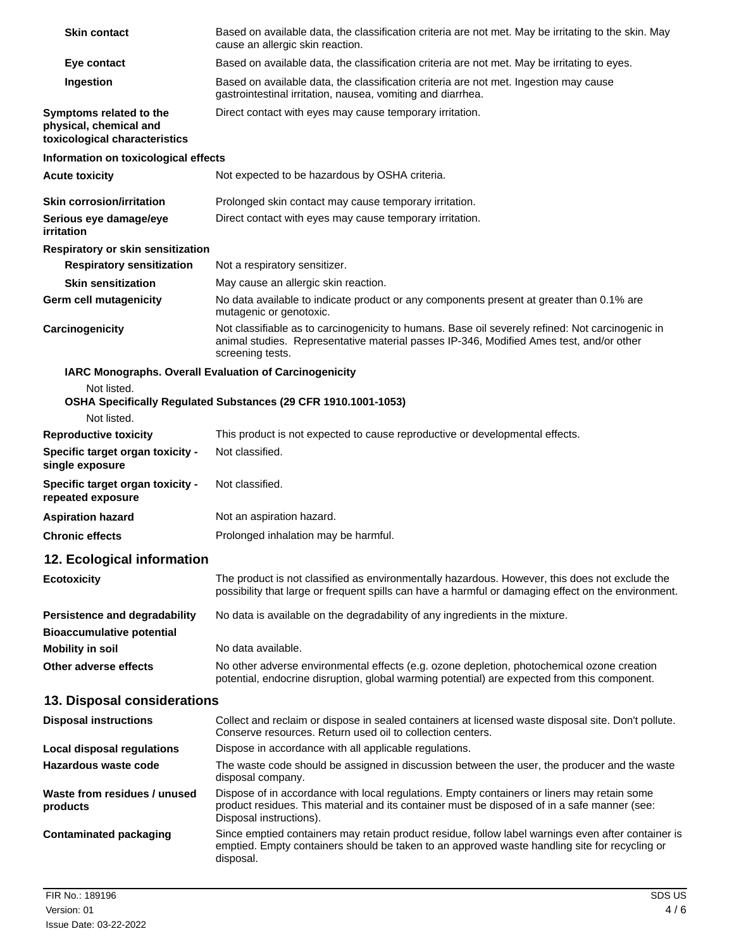| Skin contact                                                                       | Based on available data, the classification criteria are not met. May be irritating to the skin. May<br>cause an allergic skin reaction.                                                                               |
|------------------------------------------------------------------------------------|------------------------------------------------------------------------------------------------------------------------------------------------------------------------------------------------------------------------|
| Eye contact                                                                        | Based on available data, the classification criteria are not met. May be irritating to eyes.                                                                                                                           |
| Ingestion                                                                          | Based on available data, the classification criteria are not met. Ingestion may cause<br>gastrointestinal irritation, nausea, vomiting and diarrhea.                                                                   |
| Symptoms related to the<br>physical, chemical and<br>toxicological characteristics | Direct contact with eyes may cause temporary irritation.                                                                                                                                                               |
| Information on toxicological effects                                               |                                                                                                                                                                                                                        |
| <b>Acute toxicity</b>                                                              | Not expected to be hazardous by OSHA criteria.                                                                                                                                                                         |
| <b>Skin corrosion/irritation</b>                                                   | Prolonged skin contact may cause temporary irritation.                                                                                                                                                                 |
| Serious eye damage/eye<br>irritation                                               | Direct contact with eyes may cause temporary irritation.                                                                                                                                                               |
| Respiratory or skin sensitization                                                  |                                                                                                                                                                                                                        |
| <b>Respiratory sensitization</b>                                                   | Not a respiratory sensitizer.                                                                                                                                                                                          |
| Skin sensitization                                                                 | May cause an allergic skin reaction.                                                                                                                                                                                   |
| Germ cell mutagenicity                                                             | No data available to indicate product or any components present at greater than 0.1% are<br>mutagenic or genotoxic.                                                                                                    |
| Carcinogenicity                                                                    | Not classifiable as to carcinogenicity to humans. Base oil severely refined: Not carcinogenic in<br>animal studies. Representative material passes IP-346, Modified Ames test, and/or other<br>screening tests.        |
| IARC Monographs. Overall Evaluation of Carcinogenicity                             |                                                                                                                                                                                                                        |
| Not listed.<br>Not listed.                                                         | OSHA Specifically Regulated Substances (29 CFR 1910.1001-1053)                                                                                                                                                         |
| <b>Reproductive toxicity</b>                                                       | This product is not expected to cause reproductive or developmental effects.                                                                                                                                           |
| Specific target organ toxicity -<br>single exposure                                | Not classified.                                                                                                                                                                                                        |
| Specific target organ toxicity -<br>repeated exposure                              | Not classified.                                                                                                                                                                                                        |
| <b>Aspiration hazard</b>                                                           | Not an aspiration hazard.                                                                                                                                                                                              |
| <b>Chronic effects</b>                                                             | Prolonged inhalation may be harmful.                                                                                                                                                                                   |
| 12. Ecological information                                                         |                                                                                                                                                                                                                        |
| <b>Ecotoxicity</b>                                                                 | The product is not classified as environmentally hazardous. However, this does not exclude the<br>possibility that large or frequent spills can have a harmful or damaging effect on the environment.                  |
| <b>Persistence and degradability</b><br><b>Bioaccumulative potential</b>           | No data is available on the degradability of any ingredients in the mixture.                                                                                                                                           |
| <b>Mobility in soil</b>                                                            | No data available.                                                                                                                                                                                                     |
| Other adverse effects                                                              | No other adverse environmental effects (e.g. ozone depletion, photochemical ozone creation<br>potential, endocrine disruption, global warming potential) are expected from this component.                             |
| 13. Disposal considerations                                                        |                                                                                                                                                                                                                        |
| <b>Disposal instructions</b>                                                       | Collect and reclaim or dispose in sealed containers at licensed waste disposal site. Don't pollute.<br>Conserve resources. Return used oil to collection centers.                                                      |
| <b>Local disposal regulations</b>                                                  | Dispose in accordance with all applicable regulations.                                                                                                                                                                 |
| Hazardous waste code                                                               | The waste code should be assigned in discussion between the user, the producer and the waste<br>disposal company.                                                                                                      |
| Waste from residues / unused<br>products                                           | Dispose of in accordance with local regulations. Empty containers or liners may retain some<br>product residues. This material and its container must be disposed of in a safe manner (see:<br>Disposal instructions). |
| <b>Contaminated packaging</b>                                                      | Since emptied containers may retain product residue, follow label warnings even after container is<br>emptied. Empty containers should be taken to an approved waste handling site for recycling or<br>disposal.       |
|                                                                                    |                                                                                                                                                                                                                        |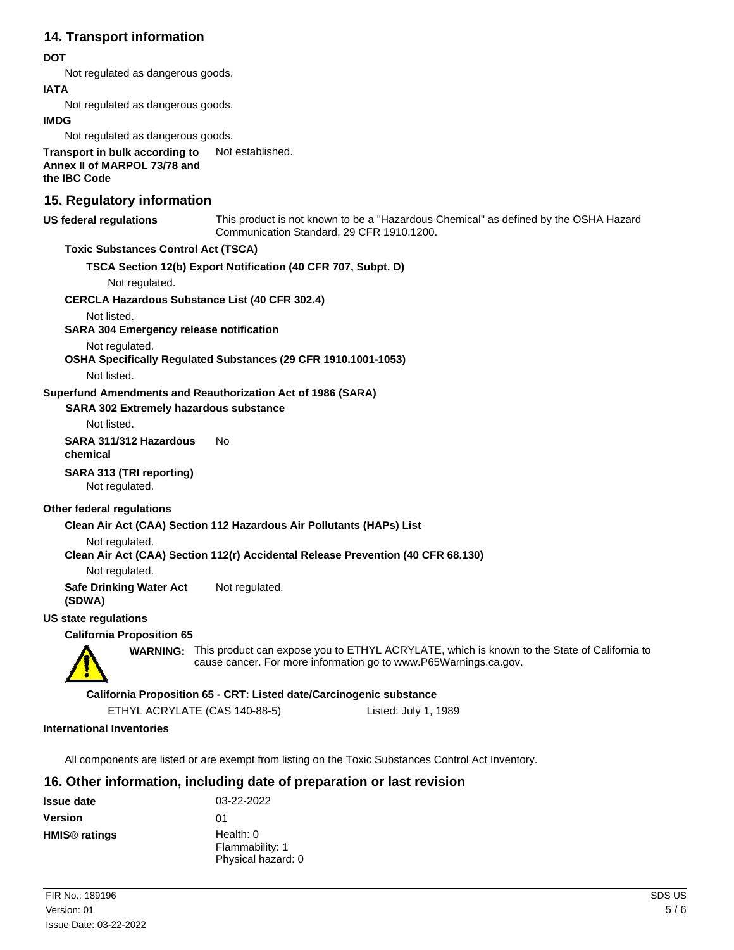# **14. Transport information**

# **DOT**

Not regulated as dangerous goods.

# **IATA**

Not regulated as dangerous goods.

#### **IMDG**

Not regulated as dangerous goods.

**Transport in bulk according to** Not established. **Annex II of MARPOL 73/78 and the IBC Code**

# **15. Regulatory information**

#### **US federal regulations**

This product is not known to be a "Hazardous Chemical" as defined by the OSHA Hazard Communication Standard, 29 CFR 1910.1200.

# **Toxic Substances Control Act (TSCA)**

**TSCA Section 12(b) Export Notification (40 CFR 707, Subpt. D)**

Not regulated.

#### **CERCLA Hazardous Substance List (40 CFR 302.4)**

Not listed.

#### **SARA 304 Emergency release notification**

Not regulated.

**OSHA Specifically Regulated Substances (29 CFR 1910.1001-1053)**

Not listed.

#### **Superfund Amendments and Reauthorization Act of 1986 (SARA)**

**SARA 302 Extremely hazardous substance**

Not listed.

#### **SARA 311/312 Hazardous** No **chemical**

**SARA 313 (TRI reporting)**

Not regulated.

#### **Other federal regulations**

## **Clean Air Act (CAA) Section 112 Hazardous Air Pollutants (HAPs) List**

Not regulated.

**Clean Air Act (CAA) Section 112(r) Accidental Release Prevention (40 CFR 68.130)**

Not regulated.

**Safe Drinking Water Act** Not regulated. **(SDWA)**

## **US state regulations**

#### **California Proposition 65**



WARNING: This product can expose you to ETHYL ACRYLATE, which is known to the State of California to cause cancer. For more information go to www.P65Warnings.ca.gov.

#### **California Proposition 65 - CRT: Listed date/Carcinogenic substance**

ETHYL ACRYLATE (CAS 140-88-5) Listed: July 1, 1989

#### **International Inventories**

All components are listed or are exempt from listing on the Toxic Substances Control Act Inventory.

# **16. Other information, including date of preparation or last revision**

| <b>Issue date</b>               | 03-22-2022                                           |
|---------------------------------|------------------------------------------------------|
| <b>Version</b>                  | 01                                                   |
| <b>HMIS<sup>®</sup></b> ratings | Health: $0$<br>Flammability: 1<br>Physical hazard: 0 |